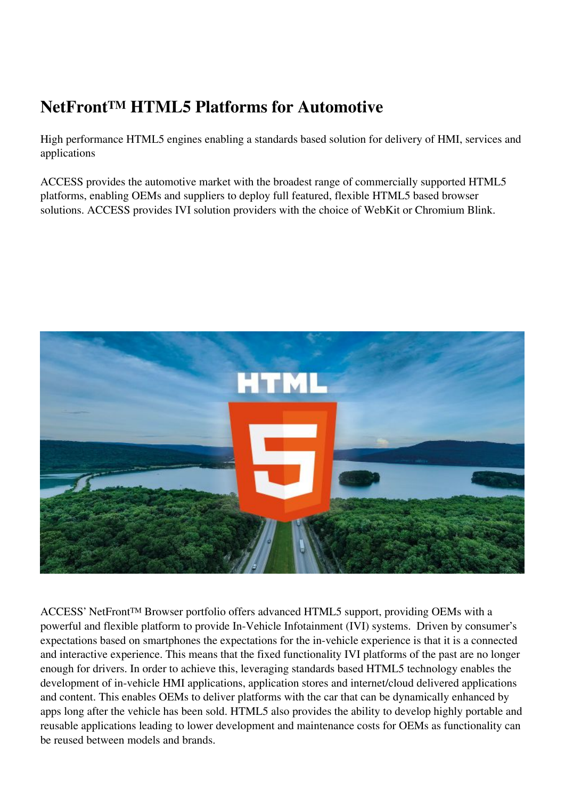# **NetFront™ HTML5 Platforms for Automotive**

High performance HTML5 engines enabling a standards based solution for delivery of HMI, services and applications

ACCESS provides the automotive market with the broadest range of commercially supported HTML5 platforms, enabling OEMs and suppliers to deploy full featured, flexible HTML5 based browser solutions. ACCESS provides IVI solution providers with the choice of WebKit or Chromium Blink.



ACCESS' NetFront™ Browser portfolio offers advanced HTML5 support, providing OEMs with a powerful and flexible platform to provide In-Vehicle Infotainment (IVI) systems. Driven by consumer's expectations based on smartphones the expectations for the in-vehicle experience is that it is a connected and interactive experience. This means that the fixed functionality IVI platforms of the past are no longer enough for drivers. In order to achieve this, leveraging standards based HTML5 technology enables the development of in-vehicle HMI applications, application stores and internet/cloud delivered applications and content. This enables OEMs to deliver platforms with the car that can be dynamically enhanced by apps long after the vehicle has been sold. HTML5 also provides the ability to develop highly portable and reusable applications leading to lower development and maintenance costs for OEMs as functionality can be reused between models and brands.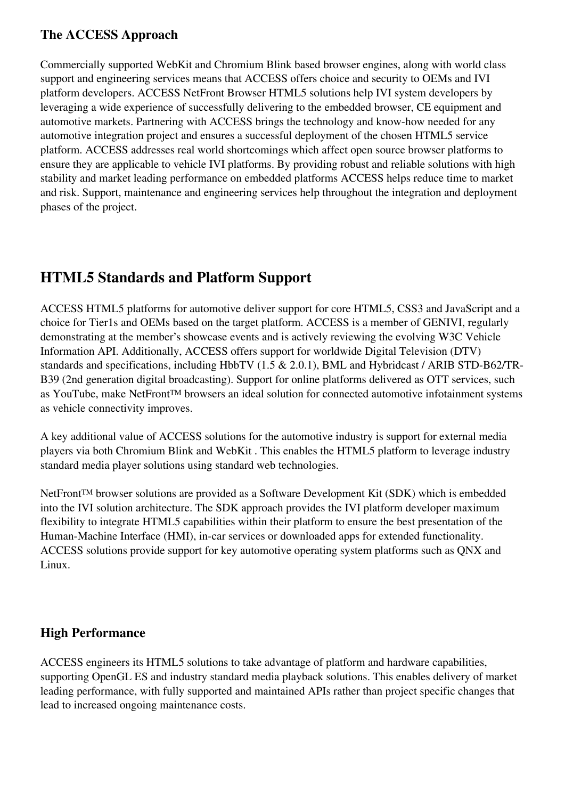## **The ACCESS Approach**

Commercially supported WebKit and Chromium Blink based browser engines, along with world class support and engineering services means that ACCESS offers choice and security to OEMs and IVI platform developers. ACCESS NetFront Browser HTML5 solutions help IVI system developers by leveraging a wide experience of successfully delivering to the embedded browser, CE equipment and automotive markets. Partnering with ACCESS brings the technology and know-how needed for any automotive integration project and ensures a successful deployment of the chosen HTML5 service platform. ACCESS addresses real world shortcomings which affect open source browser platforms to ensure they are applicable to vehicle IVI platforms. By providing robust and reliable solutions with high stability and market leading performance on embedded platforms ACCESS helps reduce time to market and risk. Support, maintenance and engineering services help throughout the integration and deployment phases of the project.

# **HTML5 Standards and Platform Support**

ACCESS HTML5 platforms for automotive deliver support for core HTML5, CSS3 and JavaScript and a choice for Tier1s and OEMs based on the target platform. ACCESS is a member of GENIVI, regularly demonstrating at the member's showcase events and is actively reviewing the evolving W3C Vehicle Information API. Additionally, ACCESS offers support for worldwide Digital Television (DTV) standards and specifications, including HbbTV (1.5 & 2.0.1), BML and Hybridcast / ARIB STD-B62/TR-B39 (2nd generation digital broadcasting). Support for online platforms delivered as OTT services, such as YouTube, make NetFront™ browsers an ideal solution for connected automotive infotainment systems as vehicle connectivity improves.

A key additional value of ACCESS solutions for the automotive industry is support for external media players via both Chromium Blink and WebKit . This enables the HTML5 platform to leverage industry standard media player solutions using standard web technologies.

NetFront™ browser solutions are provided as a Software Development Kit (SDK) which is embedded into the IVI solution architecture. The SDK approach provides the IVI platform developer maximum flexibility to integrate HTML5 capabilities within their platform to ensure the best presentation of the Human-Machine Interface (HMI), in-car services or downloaded apps for extended functionality. ACCESS solutions provide support for key automotive operating system platforms such as QNX and Linux.

## **High Performance**

ACCESS engineers its HTML5 solutions to take advantage of platform and hardware capabilities, supporting OpenGL ES and industry standard media playback solutions. This enables delivery of market leading performance, with fully supported and maintained APIs rather than project specific changes that lead to increased ongoing maintenance costs.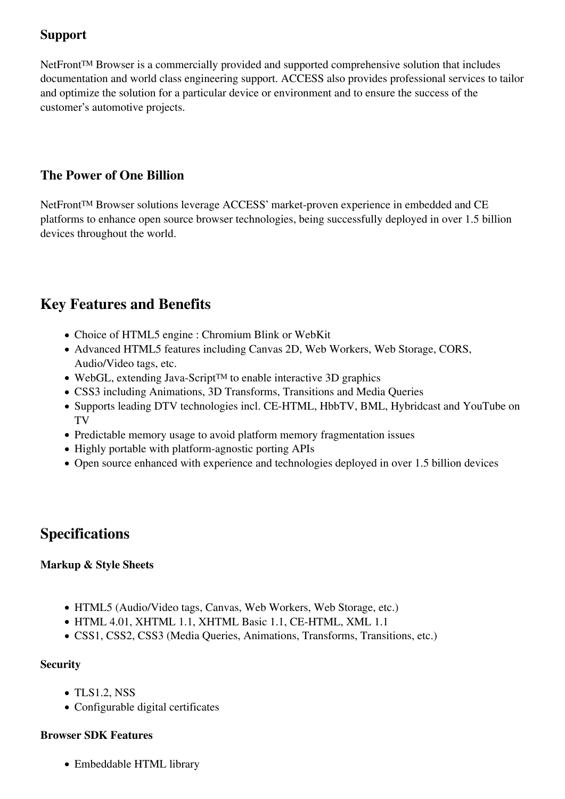## **Support**

NetFront™ Browser is a commercially provided and supported comprehensive solution that includes documentation and world class engineering support. ACCESS also provides professional services to tailor and optimize the solution for a particular device or environment and to ensure the success of the customer's automotive projects.

## **The Power of One Billion**

NetFront™ Browser solutions leverage ACCESS' market-proven experience in embedded and CE platforms to enhance open source browser technologies, being successfully deployed in over 1.5 billion devices throughout the world.

## **Key Features and Benefits**

- Choice of HTML5 engine : Chromium Blink or WebKit
- Advanced HTML5 features including Canvas 2D, Web Workers, Web Storage, CORS, Audio/Video tags, etc.
- WebGL, extending Java-Script™ to enable interactive 3D graphics
- CSS3 including Animations, 3D Transforms, Transitions and Media Queries
- Supports leading DTV technologies incl. CE-HTML, HbbTV, BML, Hybridcast and YouTube on TV
- Predictable memory usage to avoid platform memory fragmentation issues
- Highly portable with platform-agnostic porting APIs
- Open source enhanced with experience and technologies deployed in over 1.5 billion devices

## **Specifications**

### **Markup & Style Sheets**

- HTML5 (Audio/Video tags, Canvas, Web Workers, Web Storage, etc.)
- HTML 4.01, XHTML 1.1, XHTML Basic 1.1, CE-HTML, XML 1.1
- CSS1, CSS2, CSS3 (Media Queries, Animations, Transforms, Transitions, etc.)

## **Security**

- TLS1.2, NSS
- Configurable digital certificates

## **Browser SDK Features**

Embeddable HTML library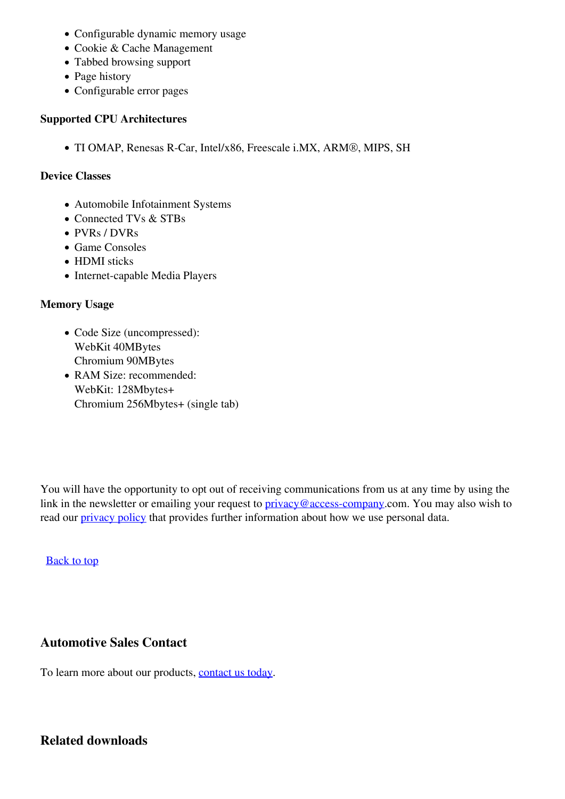- Configurable dynamic memory usage
- Cookie & Cache Management
- Tabbed browsing support
- Page history
- Configurable error pages

#### **Supported CPU Architectures**

TI OMAP, Renesas R-Car, Intel/x86, Freescale i.MX, ARM®, MIPS, SH

#### **Device Classes**

- Automobile Infotainment Systems
- Connected TVs & STBs
- PVRs / DVRs
- Game Consoles
- HDMI sticks
- Internet-capable Media Players

#### **Memory Usage**

- Code Size (uncompressed): WebKit 40MBytes Chromium 90MBytes
- RAM Size: recommended: WebKit: 128Mbytes+ Chromium 256Mbytes+ (single tab)

You will have the opportunity to opt out of receiving communications from us at any time by using the link in the newsletter or emailing your request to **privacy@access-company**.com. You may also wish to read our *privacy policy* that provides further information about how we use personal data.

#### [Back to top](https://eu.access-company.com/netfront-html5-platforms-for-automotive.html?#top)

### **Automotive Sales Contact**

To learn more about our products, [contact us today](https://eu.access-company.com/contact.html).

## **Related downloads**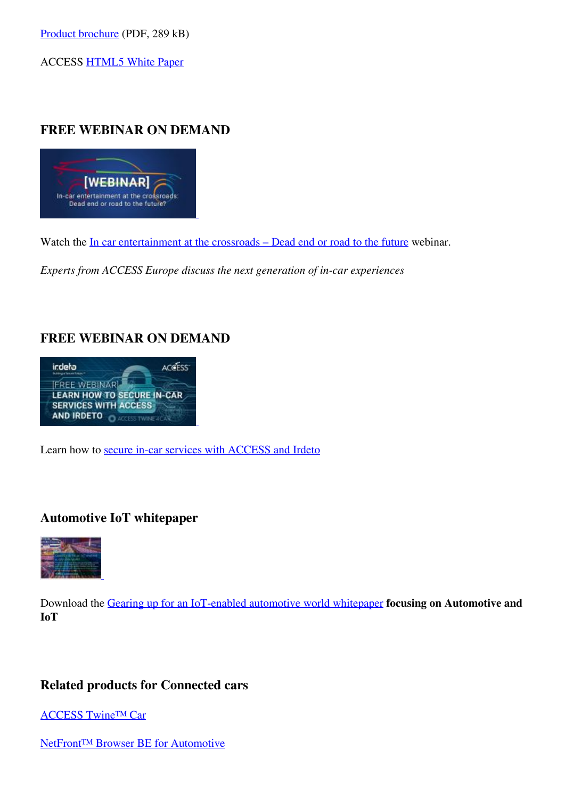ACCESS [HTML5 White Paper](http://mediapilot.access-company.com/html5-whitepaper-download.html)

## **FREE WEBINAR ON DEMAND**



Watch the <u>In car entertainment at the crossroads</u> – Dead end or road to the future webinar.

*Experts from ACCESS Europe discuss the next generation of in-car experiences*

## **FREE WEBINAR ON DEMAND**



Learn how to [secure in-car services with ACCESS and Irdeto](https://eu.access-company.com/automotive-world-webinar.html)

### **Automotive IoT whitepaper**



Download the [Gearing up for an IoT-enabled automotive world whitepaper](https://eu.access-company.com/automotive-iot-wp-2017.html) **focusing on Automotive and IoT**

### **Related products for Connected cars**

[ACCESS Twine™ Car](https://eu.access-company.com/access-twine-car.html)

NetFront<sup>™</sup> Browser BE for Automotive